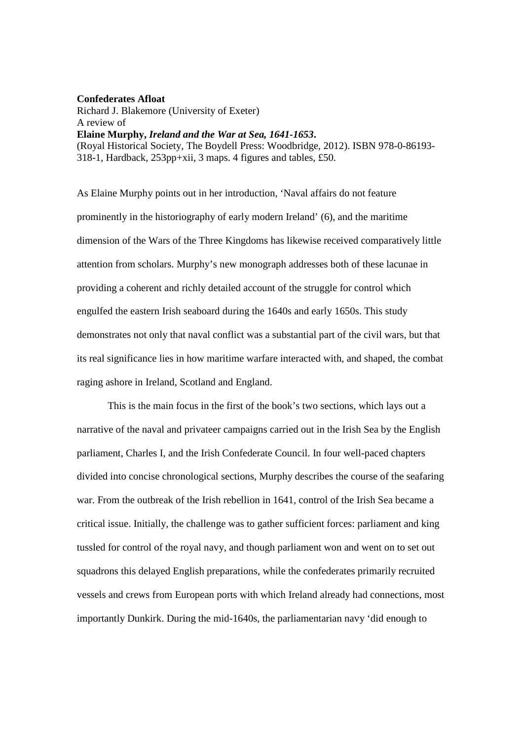## **Confederates Afloat**

Richard J. Blakemore (University of Exeter) A review of **Elaine Murphy,** *Ireland and the War at Sea, 1641-1653***.**  (Royal Historical Society, The Boydell Press: Woodbridge, 2012). ISBN 978-0-86193- 318-1, Hardback, 253pp+xii, 3 maps. 4 figures and tables, £50.

As Elaine Murphy points out in her introduction, 'Naval affairs do not feature prominently in the historiography of early modern Ireland' (6), and the maritime dimension of the Wars of the Three Kingdoms has likewise received comparatively little attention from scholars. Murphy's new monograph addresses both of these lacunae in providing a coherent and richly detailed account of the struggle for control which engulfed the eastern Irish seaboard during the 1640s and early 1650s. This study demonstrates not only that naval conflict was a substantial part of the civil wars, but that its real significance lies in how maritime warfare interacted with, and shaped, the combat raging ashore in Ireland, Scotland and England.

 This is the main focus in the first of the book's two sections, which lays out a narrative of the naval and privateer campaigns carried out in the Irish Sea by the English parliament, Charles I, and the Irish Confederate Council. In four well-paced chapters divided into concise chronological sections, Murphy describes the course of the seafaring war. From the outbreak of the Irish rebellion in 1641, control of the Irish Sea became a critical issue. Initially, the challenge was to gather sufficient forces: parliament and king tussled for control of the royal navy, and though parliament won and went on to set out squadrons this delayed English preparations, while the confederates primarily recruited vessels and crews from European ports with which Ireland already had connections, most importantly Dunkirk. During the mid-1640s, the parliamentarian navy 'did enough to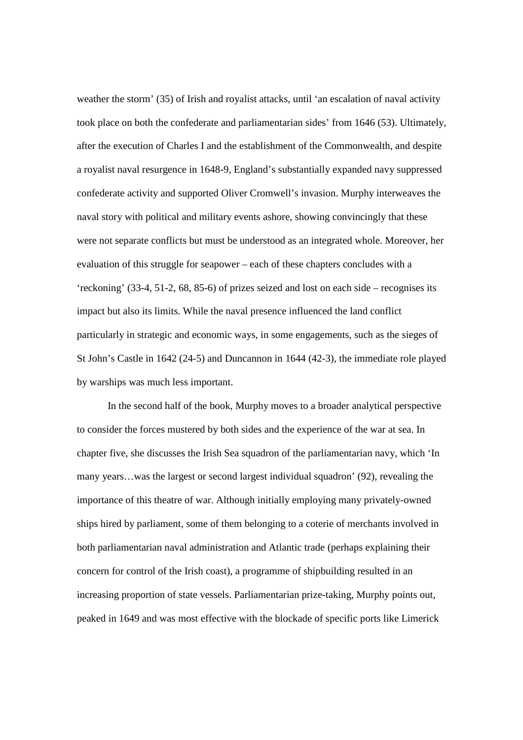weather the storm' (35) of Irish and royalist attacks, until 'an escalation of naval activity took place on both the confederate and parliamentarian sides' from 1646 (53). Ultimately, after the execution of Charles I and the establishment of the Commonwealth, and despite a royalist naval resurgence in 1648-9, England's substantially expanded navy suppressed confederate activity and supported Oliver Cromwell's invasion. Murphy interweaves the naval story with political and military events ashore, showing convincingly that these were not separate conflicts but must be understood as an integrated whole. Moreover, her evaluation of this struggle for seapower – each of these chapters concludes with a 'reckoning' (33-4, 51-2, 68, 85-6) of prizes seized and lost on each side – recognises its impact but also its limits. While the naval presence influenced the land conflict particularly in strategic and economic ways, in some engagements, such as the sieges of St John's Castle in 1642 (24-5) and Duncannon in 1644 (42-3), the immediate role played by warships was much less important.

 In the second half of the book, Murphy moves to a broader analytical perspective to consider the forces mustered by both sides and the experience of the war at sea. In chapter five, she discusses the Irish Sea squadron of the parliamentarian navy, which 'In many years…was the largest or second largest individual squadron' (92), revealing the importance of this theatre of war. Although initially employing many privately-owned ships hired by parliament, some of them belonging to a coterie of merchants involved in both parliamentarian naval administration and Atlantic trade (perhaps explaining their concern for control of the Irish coast), a programme of shipbuilding resulted in an increasing proportion of state vessels. Parliamentarian prize-taking, Murphy points out, peaked in 1649 and was most effective with the blockade of specific ports like Limerick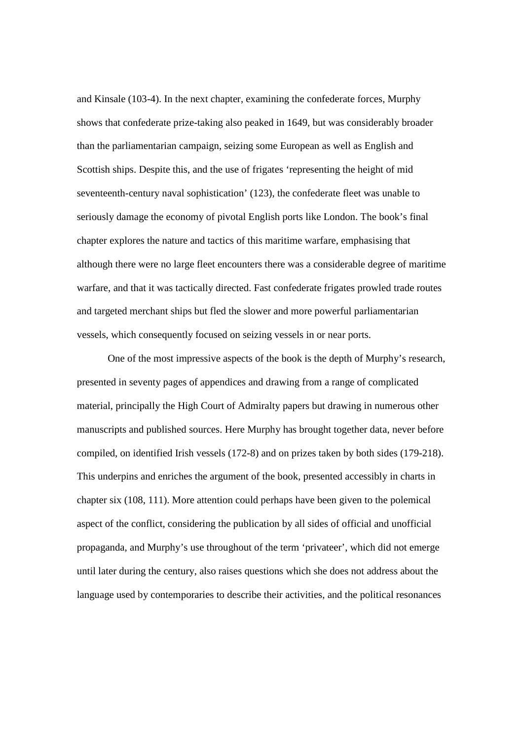and Kinsale (103-4). In the next chapter, examining the confederate forces, Murphy shows that confederate prize-taking also peaked in 1649, but was considerably broader than the parliamentarian campaign, seizing some European as well as English and Scottish ships. Despite this, and the use of frigates 'representing the height of mid seventeenth-century naval sophistication' (123), the confederate fleet was unable to seriously damage the economy of pivotal English ports like London. The book's final chapter explores the nature and tactics of this maritime warfare, emphasising that although there were no large fleet encounters there was a considerable degree of maritime warfare, and that it was tactically directed. Fast confederate frigates prowled trade routes and targeted merchant ships but fled the slower and more powerful parliamentarian vessels, which consequently focused on seizing vessels in or near ports.

 One of the most impressive aspects of the book is the depth of Murphy's research, presented in seventy pages of appendices and drawing from a range of complicated material, principally the High Court of Admiralty papers but drawing in numerous other manuscripts and published sources. Here Murphy has brought together data, never before compiled, on identified Irish vessels (172-8) and on prizes taken by both sides (179-218). This underpins and enriches the argument of the book, presented accessibly in charts in chapter six (108, 111). More attention could perhaps have been given to the polemical aspect of the conflict, considering the publication by all sides of official and unofficial propaganda, and Murphy's use throughout of the term 'privateer', which did not emerge until later during the century, also raises questions which she does not address about the language used by contemporaries to describe their activities, and the political resonances